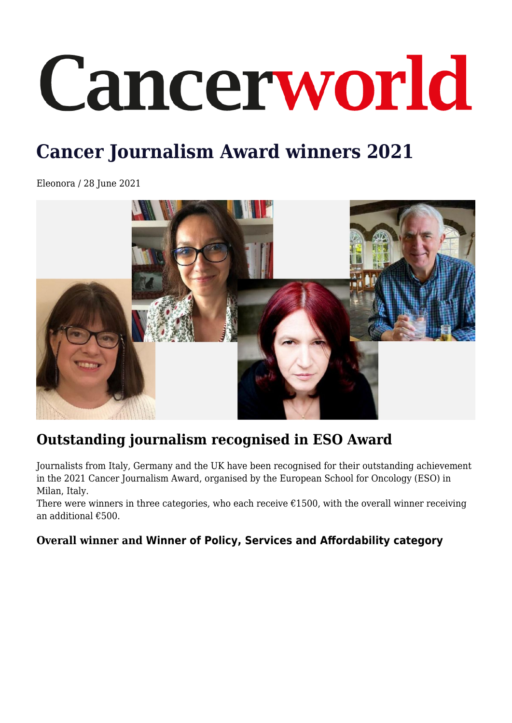# Cancerworld

## **Cancer Journalism Award winners 2021**

Eleonora / 28 June 2021



### **Outstanding journalism recognised in ESO Award**

Journalists from Italy, Germany and the UK have been recognised for their outstanding achievement in the 2021 Cancer Journalism Award, organised by the European School for Oncology (ESO) in Milan, Italy.

There were winners in three categories, who each receive  $\epsilon$ 1500, with the overall winner receiving an additional €500.

#### **Overall winner and Winner of Policy, Services and Affordability category**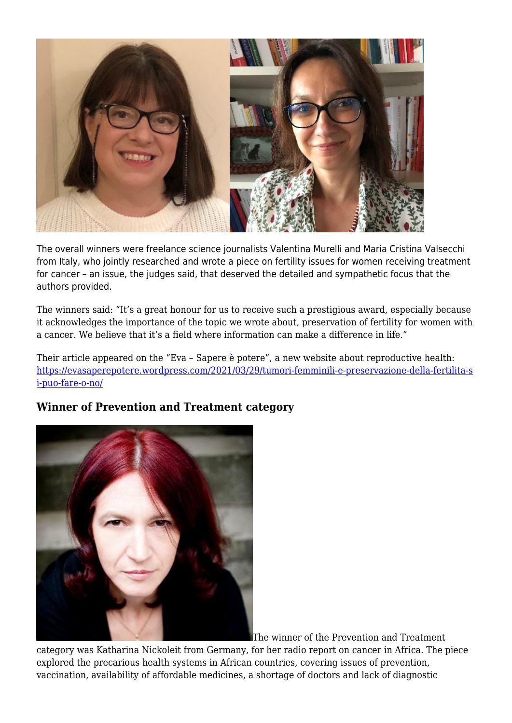

The overall winners were freelance science journalists Valentina Murelli and Maria Cristina Valsecchi from Italy, who jointly researched and wrote a piece on fertility issues for women receiving treatment for cancer – an issue, the judges said, that deserved the detailed and sympathetic focus that the authors provided.

The winners said: "It's a great honour for us to receive such a prestigious award, especially because it acknowledges the importance of the topic we wrote about, preservation of fertility for women with a cancer. We believe that it's a field where information can make a difference in life."

Their article appeared on the "Eva – Sapere è potere", a new website about reproductive health: [https://evasaperepotere.wordpress.com/2021/03/29/tumori-femminili-e-preservazione-della-fertilita-s](https://cancerworld.net/_wp_link_placeholder) [i-puo-fare-o-no/](https://cancerworld.net/_wp_link_placeholder)

#### **Winner of Prevention and Treatment category**



The winner of the Prevention and Treatment

category was Katharina Nickoleit from Germany, for her radio report on cancer in Africa. The piece explored the precarious health systems in African countries, covering issues of prevention, vaccination, availability of affordable medicines, a shortage of doctors and lack of diagnostic